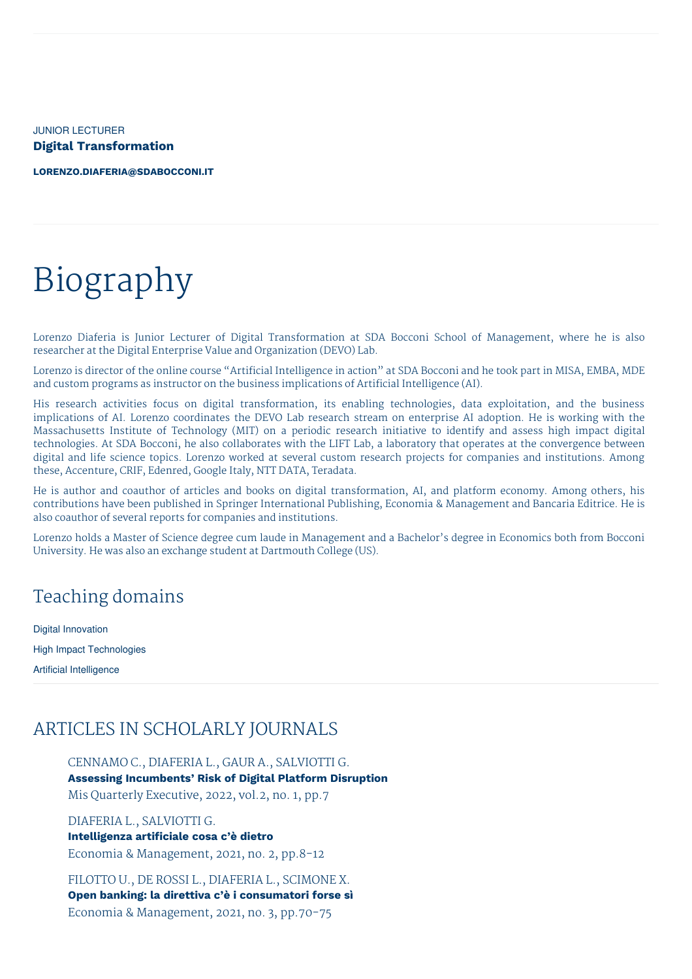JUNIOR LECTURER **Digital Transformation**

**[LORENZO.DIAFERIA@SDABOCCONI.IT](mailto:lorenzo.diaferia@sdabocconi.it)**

# Biography

Lorenzo Diaferia is Junior Lecturer of Digital Transformation at SDA Bocconi School of Management, where he is also researcher at the Digital Enterprise Value and Organization (DEVO) Lab.

Lorenzo is director of the online course "Artificial Intelligence in action" at SDA Bocconi and he took part in MISA, EMBA, MDE and custom programs as instructor on the business implications of Artificial Intelligence (AI).

His research activities focus on digital transformation, its enabling technologies, data exploitation, and the business implications of AI. Lorenzo coordinates the DEVO Lab research stream on enterprise AI adoption. He is working with the Massachusetts Institute of Technology (MIT) on a periodic research initiative to identify and assess high impact digital technologies. At SDA Bocconi, he also collaborates with the LIFT Lab, a laboratory that operates at the convergence between digital and life science topics. Lorenzo worked at several custom research projects for companies and institutions. Among these, Accenture, CRIF, Edenred, Google Italy, NTT DATA, Teradata.

He is author and coauthor of articles and books on digital transformation, AI, and platform economy. Among others, his contributions have been published in Springer International Publishing, Economia & Management and Bancaria Editrice. He is also coauthor of several reports for companies and institutions.

Lorenzo holds a Master of Science degree cum laude in Management and a Bachelor's degree in Economics both from Bocconi University. He was also an exchange student at Dartmouth College (US).

## Teaching domains

Digital Innovation High Impact Technologies Artificial Intelligence

# ARTICLES IN SCHOLARLY JOURNALS

CENNAMO C., DIAFERIA L., GAUR A., SALVIOTTI G. **Assessing Incumbents' Risk of Digital Platform Disruption** Mis Quarterly Executive, 2022, vol.2, no. 1, pp.7

DIAFERIA L., SALVIOTTI G. **Intelligenza artificiale cosa c'è dietro** Economia & Management, 2021, no. 2, pp.8-12

FILOTTO U., DE ROSSI L., DIAFERIA L., SCIMONE X. **Open banking: la direttiva c'è i consumatori forse sì** Economia & Management, 2021, no. 3, pp.70-75